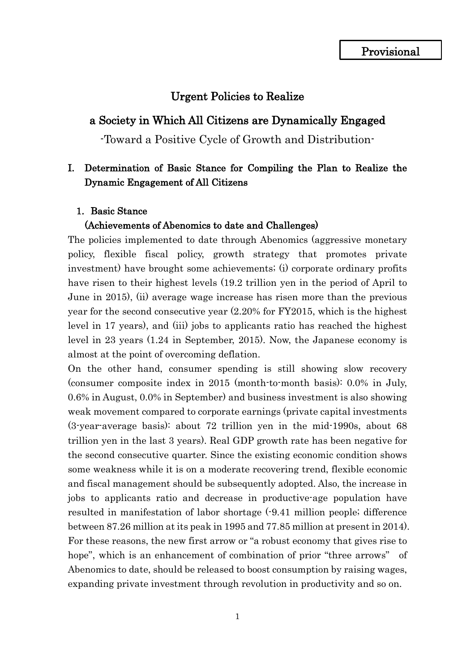## Urgent Policies to Realize

### a Society in Which All Citizens are Dynamically Engaged

-Toward a Positive Cycle of Growth and Distribution-

## I. Determination of Basic Stance for Compiling the Plan to Realize the Dynamic Engagement of All Citizens

### 1. Basic Stance

### (Achievements of Abenomics to date and Challenges)

The policies implemented to date through Abenomics (aggressive monetary policy, flexible fiscal policy, growth strategy that promotes private investment) have brought some achievements; (i) corporate ordinary profits have risen to their highest levels (19.2 trillion yen in the period of April to June in 2015), (ii) average wage increase has risen more than the previous year for the second consecutive year (2.20% for FY2015, which is the highest level in 17 years), and (iii) jobs to applicants ratio has reached the highest level in 23 years (1.24 in September, 2015). Now, the Japanese economy is almost at the point of overcoming deflation.

On the other hand, consumer spending is still showing slow recovery (consumer composite index in 2015 (month-to-month basis): 0.0% in July, 0.6% in August, 0.0% in September) and business investment is also showing weak movement compared to corporate earnings (private capital investments (3-year-average basis): about 72 trillion yen in the mid-1990s, about 68 trillion yen in the last 3 years). Real GDP growth rate has been negative for the second consecutive quarter. Since the existing economic condition shows some weakness while it is on a moderate recovering trend, flexible economic and fiscal management should be subsequently adopted. Also, the increase in jobs to applicants ratio and decrease in productive-age population have resulted in manifestation of labor shortage (-9.41 million people; difference between 87.26 million at its peak in 1995 and 77.85 million at present in 2014). For these reasons, the new first arrow or "a robust economy that gives rise to hope", which is an enhancement of combination of prior "three arrows" of Abenomics to date, should be released to boost consumption by raising wages, expanding private investment through revolution in productivity and so on.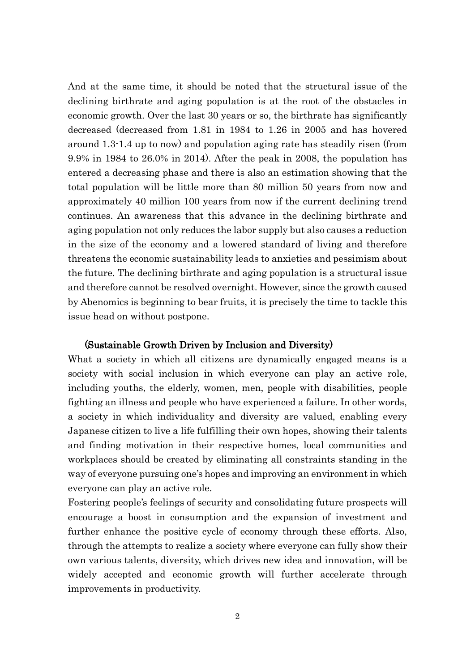And at the same time, it should be noted that the structural issue of the declining birthrate and aging population is at the root of the obstacles in economic growth. Over the last 30 years or so, the birthrate has significantly decreased (decreased from 1.81 in 1984 to 1.26 in 2005 and has hovered around 1.3-1.4 up to now) and population aging rate has steadily risen (from 9.9% in 1984 to 26.0% in 2014). After the peak in 2008, the population has entered a decreasing phase and there is also an estimation showing that the total population will be little more than 80 million 50 years from now and approximately 40 million 100 years from now if the current declining trend continues. An awareness that this advance in the declining birthrate and aging population not only reduces the labor supply but also causes a reduction in the size of the economy and a lowered standard of living and therefore threatens the economic sustainability leads to anxieties and pessimism about the future. The declining birthrate and aging population is a structural issue and therefore cannot be resolved overnight. However, since the growth caused by Abenomics is beginning to bear fruits, it is precisely the time to tackle this issue head on without postpone.

### (Sustainable Growth Driven by Inclusion and Diversity)

What a society in which all citizens are dynamically engaged means is a society with social inclusion in which everyone can play an active role, including youths, the elderly, women, men, people with disabilities, people fighting an illness and people who have experienced a failure. In other words, a society in which individuality and diversity are valued, enabling every Japanese citizen to live a life fulfilling their own hopes, showing their talents and finding motivation in their respective homes, local communities and workplaces should be created by eliminating all constraints standing in the way of everyone pursuing one's hopes and improving an environment in which everyone can play an active role.

Fostering people's feelings of security and consolidating future prospects will encourage a boost in consumption and the expansion of investment and further enhance the positive cycle of economy through these efforts. Also, through the attempts to realize a society where everyone can fully show their own various talents, diversity, which drives new idea and innovation, will be widely accepted and economic growth will further accelerate through improvements in productivity.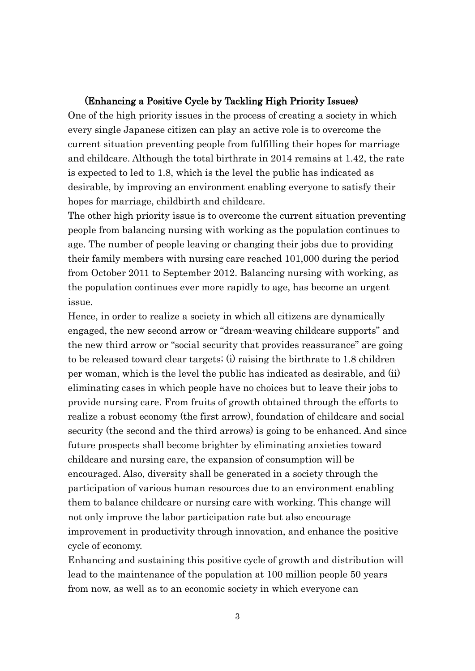### (Enhancing a Positive Cycle by Tackling High Priority Issues)

One of the high priority issues in the process of creating a society in which every single Japanese citizen can play an active role is to overcome the current situation preventing people from fulfilling their hopes for marriage and childcare. Although the total birthrate in 2014 remains at 1.42, the rate is expected to led to 1.8, which is the level the public has indicated as desirable, by improving an environment enabling everyone to satisfy their hopes for marriage, childbirth and childcare.

The other high priority issue is to overcome the current situation preventing people from balancing nursing with working as the population continues to age. The number of people leaving or changing their jobs due to providing their family members with nursing care reached 101,000 during the period from October 2011 to September 2012. Balancing nursing with working, as the population continues ever more rapidly to age, has become an urgent issue.

Hence, in order to realize a society in which all citizens are dynamically engaged, the new second arrow or "dream-weaving childcare supports" and the new third arrow or "social security that provides reassurance" are going to be released toward clear targets; (i) raising the birthrate to 1.8 children per woman, which is the level the public has indicated as desirable, and (ii) eliminating cases in which people have no choices but to leave their jobs to provide nursing care. From fruits of growth obtained through the efforts to realize a robust economy (the first arrow), foundation of childcare and social security (the second and the third arrows) is going to be enhanced. And since future prospects shall become brighter by eliminating anxieties toward childcare and nursing care, the expansion of consumption will be encouraged. Also, diversity shall be generated in a society through the participation of various human resources due to an environment enabling them to balance childcare or nursing care with working. This change will not only improve the labor participation rate but also encourage improvement in productivity through innovation, and enhance the positive cycle of economy.

Enhancing and sustaining this positive cycle of growth and distribution will lead to the maintenance of the population at 100 million people 50 years from now, as well as to an economic society in which everyone can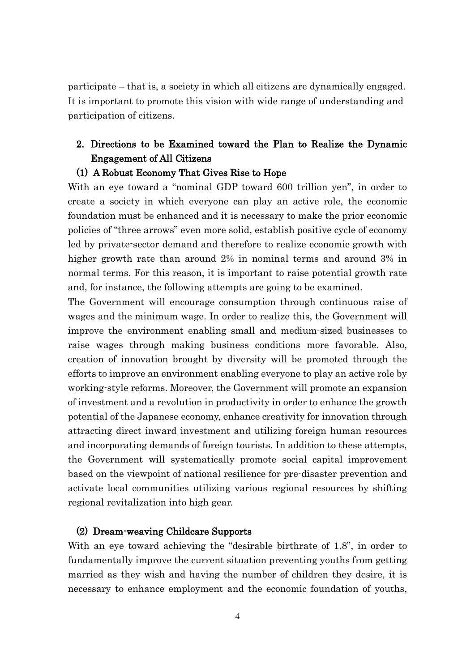participate – that is, a society in which all citizens are dynamically engaged. It is important to promote this vision with wide range of understanding and participation of citizens.

# 2. Directions to be Examined toward the Plan to Realize the Dynamic Engagement of All Citizens

### (1) A Robust Economy That Gives Rise to Hope

With an eye toward a "nominal GDP toward 600 trillion yen", in order to create a society in which everyone can play an active role, the economic foundation must be enhanced and it is necessary to make the prior economic policies of "three arrows" even more solid, establish positive cycle of economy led by private-sector demand and therefore to realize economic growth with higher growth rate than around 2% in nominal terms and around 3% in normal terms. For this reason, it is important to raise potential growth rate and, for instance, the following attempts are going to be examined.

The Government will encourage consumption through continuous raise of wages and the minimum wage. In order to realize this, the Government will improve the environment enabling small and medium-sized businesses to raise wages through making business conditions more favorable. Also, creation of innovation brought by diversity will be promoted through the efforts to improve an environment enabling everyone to play an active role by working-style reforms. Moreover, the Government will promote an expansion of investment and a revolution in productivity in order to enhance the growth potential of the Japanese economy, enhance creativity for innovation through attracting direct inward investment and utilizing foreign human resources and incorporating demands of foreign tourists. In addition to these attempts, the Government will systematically promote social capital improvement based on the viewpoint of national resilience for pre-disaster prevention and activate local communities utilizing various regional resources by shifting regional revitalization into high gear.

### (2) Dream-weaving Childcare Supports

With an eye toward achieving the "desirable birthrate of 1.8", in order to fundamentally improve the current situation preventing youths from getting married as they wish and having the number of children they desire, it is necessary to enhance employment and the economic foundation of youths,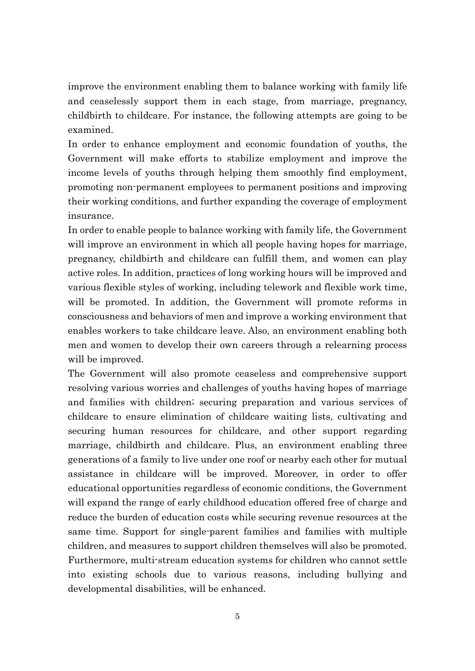improve the environment enabling them to balance working with family life and ceaselessly support them in each stage, from marriage, pregnancy, childbirth to childcare. For instance, the following attempts are going to be examined.

In order to enhance employment and economic foundation of youths, the Government will make efforts to stabilize employment and improve the income levels of youths through helping them smoothly find employment, promoting non-permanent employees to permanent positions and improving their working conditions, and further expanding the coverage of employment insurance.

In order to enable people to balance working with family life, the Government will improve an environment in which all people having hopes for marriage, pregnancy, childbirth and childcare can fulfill them, and women can play active roles. In addition, practices of long working hours will be improved and various flexible styles of working, including telework and flexible work time, will be promoted. In addition, the Government will promote reforms in consciousness and behaviors of men and improve a working environment that enables workers to take childcare leave. Also, an environment enabling both men and women to develop their own careers through a relearning process will be improved.

The Government will also promote ceaseless and comprehensive support resolving various worries and challenges of youths having hopes of marriage and families with children; securing preparation and various services of childcare to ensure elimination of childcare waiting lists, cultivating and securing human resources for childcare, and other support regarding marriage, childbirth and childcare. Plus, an environment enabling three generations of a family to live under one roof or nearby each other for mutual assistance in childcare will be improved. Moreover, in order to offer educational opportunities regardless of economic conditions, the Government will expand the range of early childhood education offered free of charge and reduce the burden of education costs while securing revenue resources at the same time. Support for single-parent families and families with multiple children, and measures to support children themselves will also be promoted. Furthermore, multi-stream education systems for children who cannot settle into existing schools due to various reasons, including bullying and developmental disabilities, will be enhanced.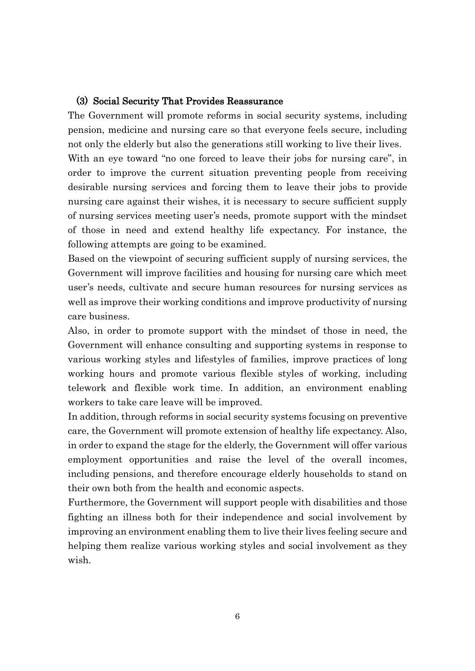### (3) Social Security That Provides Reassurance

The Government will promote reforms in social security systems, including pension, medicine and nursing care so that everyone feels secure, including not only the elderly but also the generations still working to live their lives.

With an eye toward "no one forced to leave their jobs for nursing care", in order to improve the current situation preventing people from receiving desirable nursing services and forcing them to leave their jobs to provide nursing care against their wishes, it is necessary to secure sufficient supply of nursing services meeting user's needs, promote support with the mindset of those in need and extend healthy life expectancy. For instance, the following attempts are going to be examined.

Based on the viewpoint of securing sufficient supply of nursing services, the Government will improve facilities and housing for nursing care which meet user's needs, cultivate and secure human resources for nursing services as well as improve their working conditions and improve productivity of nursing care business.

Also, in order to promote support with the mindset of those in need, the Government will enhance consulting and supporting systems in response to various working styles and lifestyles of families, improve practices of long working hours and promote various flexible styles of working, including telework and flexible work time. In addition, an environment enabling workers to take care leave will be improved.

In addition, through reforms in social security systems focusing on preventive care, the Government will promote extension of healthy life expectancy. Also, in order to expand the stage for the elderly, the Government will offer various employment opportunities and raise the level of the overall incomes, including pensions, and therefore encourage elderly households to stand on their own both from the health and economic aspects.

Furthermore, the Government will support people with disabilities and those fighting an illness both for their independence and social involvement by improving an environment enabling them to live their lives feeling secure and helping them realize various working styles and social involvement as they wish.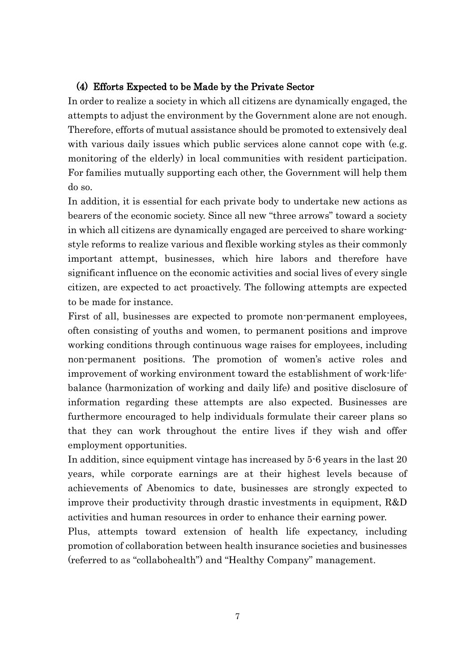### (4) Efforts Expected to be Made by the Private Sector

In order to realize a society in which all citizens are dynamically engaged, the attempts to adjust the environment by the Government alone are not enough. Therefore, efforts of mutual assistance should be promoted to extensively deal with various daily issues which public services alone cannot cope with (e.g. monitoring of the elderly) in local communities with resident participation. For families mutually supporting each other, the Government will help them do so.

In addition, it is essential for each private body to undertake new actions as bearers of the economic society. Since all new "three arrows" toward a society in which all citizens are dynamically engaged are perceived to share workingstyle reforms to realize various and flexible working styles as their commonly important attempt, businesses, which hire labors and therefore have significant influence on the economic activities and social lives of every single citizen, are expected to act proactively. The following attempts are expected to be made for instance.

First of all, businesses are expected to promote non-permanent employees, often consisting of youths and women, to permanent positions and improve working conditions through continuous wage raises for employees, including non-permanent positions. The promotion of women's active roles and improvement of working environment toward the establishment of work-lifebalance (harmonization of working and daily life) and positive disclosure of information regarding these attempts are also expected. Businesses are furthermore encouraged to help individuals formulate their career plans so that they can work throughout the entire lives if they wish and offer employment opportunities.

In addition, since equipment vintage has increased by 5-6 years in the last 20 years, while corporate earnings are at their highest levels because of achievements of Abenomics to date, businesses are strongly expected to improve their productivity through drastic investments in equipment, R&D activities and human resources in order to enhance their earning power.

Plus, attempts toward extension of health life expectancy, including promotion of collaboration between health insurance societies and businesses (referred to as "collabohealth") and "Healthy Company" management.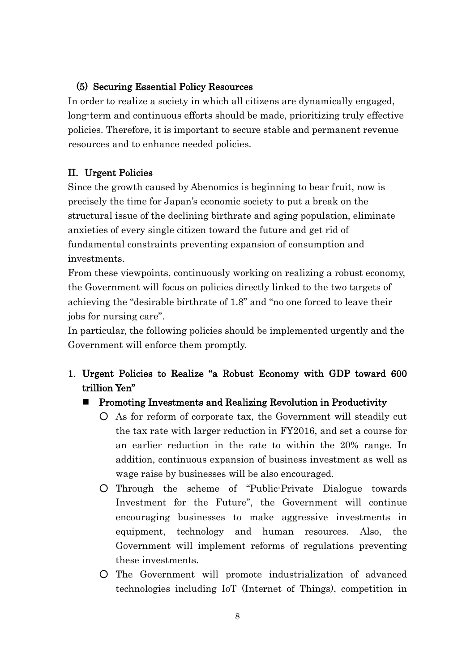## (5) Securing Essential Policy Resources

In order to realize a society in which all citizens are dynamically engaged, long-term and continuous efforts should be made, prioritizing truly effective policies. Therefore, it is important to secure stable and permanent revenue resources and to enhance needed policies.

## II. Urgent Policies

Since the growth caused by Abenomics is beginning to bear fruit, now is precisely the time for Japan's economic society to put a break on the structural issue of the declining birthrate and aging population, eliminate anxieties of every single citizen toward the future and get rid of fundamental constraints preventing expansion of consumption and investments.

From these viewpoints, continuously working on realizing a robust economy, the Government will focus on policies directly linked to the two targets of achieving the "desirable birthrate of 1.8" and "no one forced to leave their jobs for nursing care".

In particular, the following policies should be implemented urgently and the Government will enforce them promptly.

1. Urgent Policies to Realize "a Robust Economy with GDP toward 600 trillion Yen"

### ■ Promoting Investments and Realizing Revolution in Productivity

- As for reform of corporate tax, the Government will steadily cut the tax rate with larger reduction in FY2016, and set a course for an earlier reduction in the rate to within the 20% range. In addition, continuous expansion of business investment as well as wage raise by businesses will be also encouraged.
- Through the scheme of "Public-Private Dialogue towards Investment for the Future", the Government will continue encouraging businesses to make aggressive investments in equipment, technology and human resources. Also, the Government will implement reforms of regulations preventing these investments.
- The Government will promote industrialization of advanced technologies including IoT (Internet of Things), competition in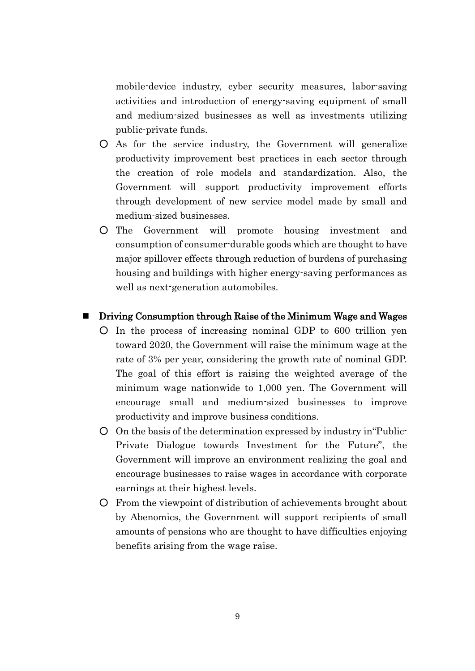mobile-device industry, cyber security measures, labor-saving activities and introduction of energy-saving equipment of small and medium-sized businesses as well as investments utilizing public-private funds.

- As for the service industry, the Government will generalize productivity improvement best practices in each sector through the creation of role models and standardization. Also, the Government will support productivity improvement efforts through development of new service model made by small and medium-sized businesses.
- The Government will promote housing investment and consumption of consumer-durable goods which are thought to have major spillover effects through reduction of burdens of purchasing housing and buildings with higher energy-saving performances as well as next-generation automobiles.

### ■ Driving Consumption through Raise of the Minimum Wage and Wages

- In the process of increasing nominal GDP to 600 trillion yen toward 2020, the Government will raise the minimum wage at the rate of 3% per year, considering the growth rate of nominal GDP. The goal of this effort is raising the weighted average of the minimum wage nationwide to 1,000 yen. The Government will encourage small and medium-sized businesses to improve productivity and improve business conditions.
- On the basis of the determination expressed by industry in"Public-Private Dialogue towards Investment for the Future", the Government will improve an environment realizing the goal and encourage businesses to raise wages in accordance with corporate earnings at their highest levels.
- From the viewpoint of distribution of achievements brought about by Abenomics, the Government will support recipients of small amounts of pensions who are thought to have difficulties enjoying benefits arising from the wage raise.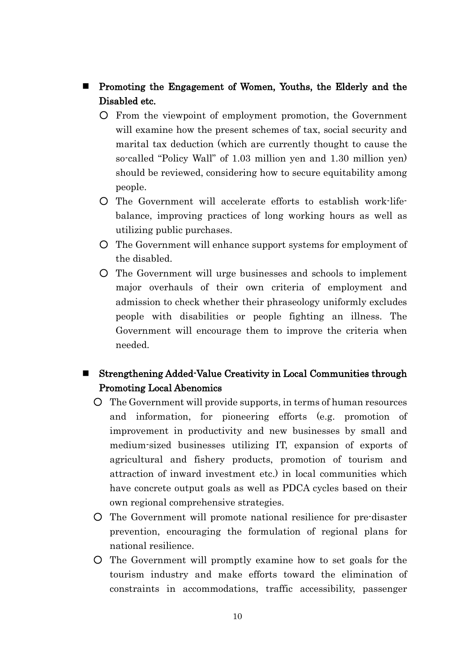- Promoting the Engagement of Women, Youths, the Elderly and the Disabled etc.
	- From the viewpoint of employment promotion, the Government will examine how the present schemes of tax, social security and marital tax deduction (which are currently thought to cause the so-called "Policy Wall" of 1.03 million yen and 1.30 million yen) should be reviewed, considering how to secure equitability among people.
	- The Government will accelerate efforts to establish work-lifebalance, improving practices of long working hours as well as utilizing public purchases.
	- The Government will enhance support systems for employment of the disabled.
	- The Government will urge businesses and schools to implement major overhauls of their own criteria of employment and admission to check whether their phraseology uniformly excludes people with disabilities or people fighting an illness. The Government will encourage them to improve the criteria when needed.

# Strengthening Added-Value Creativity in Local Communities through Promoting Local Abenomics

- The Government will provide supports, in terms of human resources and information, for pioneering efforts (e.g. promotion of improvement in productivity and new businesses by small and medium-sized businesses utilizing IT, expansion of exports of agricultural and fishery products, promotion of tourism and attraction of inward investment etc.) in local communities which have concrete output goals as well as PDCA cycles based on their own regional comprehensive strategies.
- The Government will promote national resilience for pre-disaster prevention, encouraging the formulation of regional plans for national resilience.
- The Government will promptly examine how to set goals for the tourism industry and make efforts toward the elimination of constraints in accommodations, traffic accessibility, passenger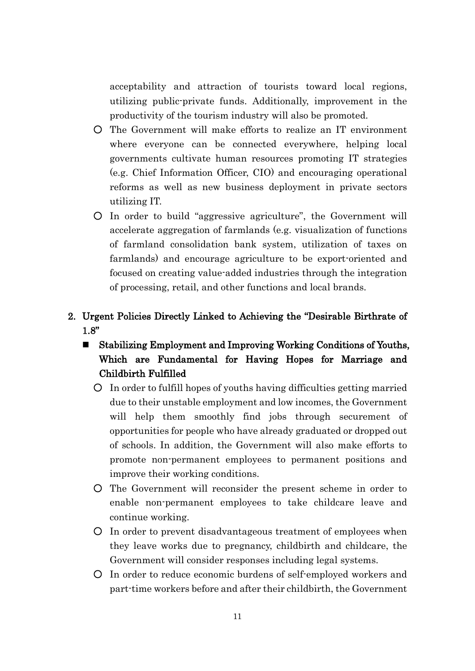acceptability and attraction of tourists toward local regions, utilizing public-private funds. Additionally, improvement in the productivity of the tourism industry will also be promoted.

- The Government will make efforts to realize an IT environment where everyone can be connected everywhere, helping local governments cultivate human resources promoting IT strategies (e.g. Chief Information Officer, CIO) and encouraging operational reforms as well as new business deployment in private sectors utilizing IT.
- In order to build "aggressive agriculture", the Government will accelerate aggregation of farmlands (e.g. visualization of functions of farmland consolidation bank system, utilization of taxes on farmlands) and encourage agriculture to be export-oriented and focused on creating value-added industries through the integration of processing, retail, and other functions and local brands.

# 2. Urgent Policies Directly Linked to Achieving the "Desirable Birthrate of 1.8"

- Stabilizing Employment and Improving Working Conditions of Youths, Which are Fundamental for Having Hopes for Marriage and Childbirth Fulfilled
	- In order to fulfill hopes of youths having difficulties getting married due to their unstable employment and low incomes, the Government will help them smoothly find jobs through securement of opportunities for people who have already graduated or dropped out of schools. In addition, the Government will also make efforts to promote non-permanent employees to permanent positions and improve their working conditions.
	- The Government will reconsider the present scheme in order to enable non-permanent employees to take childcare leave and continue working.
	- In order to prevent disadvantageous treatment of employees when they leave works due to pregnancy, childbirth and childcare, the Government will consider responses including legal systems.
	- In order to reduce economic burdens of self-employed workers and part-time workers before and after their childbirth, the Government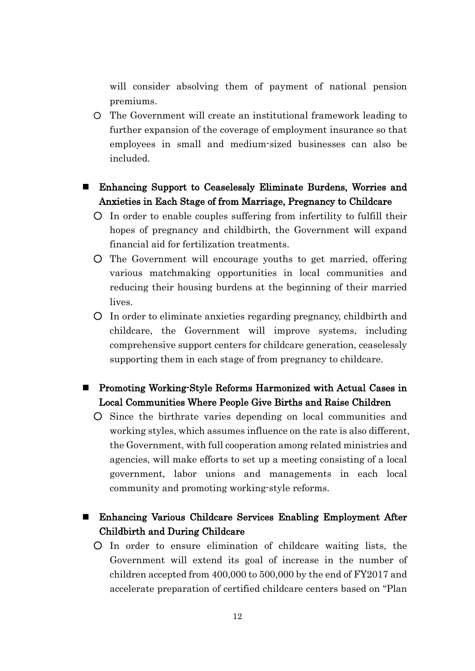will consider absolving them of payment of national pension premiums.

○ The Government will create an institutional framework leading to further expansion of the coverage of employment insurance so that employees in small and medium-sized businesses can also be included.

# Enhancing Support to Ceaselessly Eliminate Burdens, Worries and Anxieties in Each Stage of from Marriage, Pregnancy to Childcare

- In order to enable couples suffering from infertility to fulfill their hopes of pregnancy and childbirth, the Government will expand financial aid for fertilization treatments.
- The Government will encourage youths to get married, offering various matchmaking opportunities in local communities and reducing their housing burdens at the beginning of their married lives.
- In order to eliminate anxieties regarding pregnancy, childbirth and childcare, the Government will improve systems, including comprehensive support centers for childcare generation, ceaselessly supporting them in each stage of from pregnancy to childcare.

# ■ Promoting Working-Style Reforms Harmonized with Actual Cases in Local Communities Where People Give Births and Raise Children

- Since the birthrate varies depending on local communities and working styles, which assumes influence on the rate is also different, the Government, with full cooperation among related ministries and agencies, will make efforts to set up a meeting consisting of a local government, labor unions and managements in each local community and promoting working-style reforms.
- Enhancing Various Childcare Services Enabling Employment After Childbirth and During Childcare
	- In order to ensure elimination of childcare waiting lists, the Government will extend its goal of increase in the number of children accepted from 400,000 to 500,000 by the end of FY2017 and accelerate preparation of certified childcare centers based on "Plan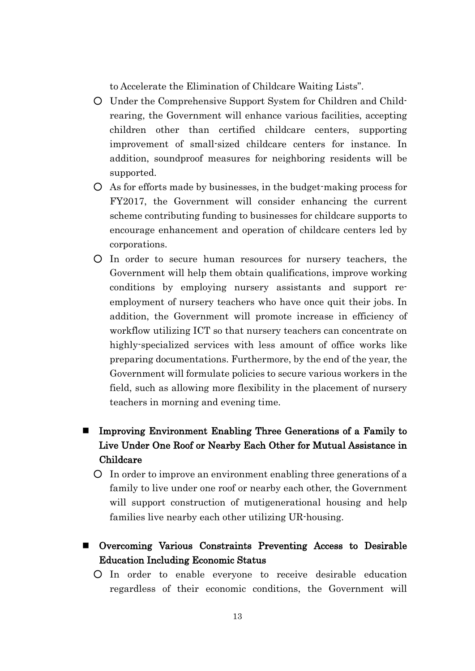to Accelerate the Elimination of Childcare Waiting Lists".

- Under the Comprehensive Support System for Children and Childrearing, the Government will enhance various facilities, accepting children other than certified childcare centers, supporting improvement of small-sized childcare centers for instance. In addition, soundproof measures for neighboring residents will be supported.
- As for efforts made by businesses, in the budget-making process for FY2017, the Government will consider enhancing the current scheme contributing funding to businesses for childcare supports to encourage enhancement and operation of childcare centers led by corporations.
- In order to secure human resources for nursery teachers, the Government will help them obtain qualifications, improve working conditions by employing nursery assistants and support reemployment of nursery teachers who have once quit their jobs. In addition, the Government will promote increase in efficiency of workflow utilizing ICT so that nursery teachers can concentrate on highly-specialized services with less amount of office works like preparing documentations. Furthermore, by the end of the year, the Government will formulate policies to secure various workers in the field, such as allowing more flexibility in the placement of nursery teachers in morning and evening time.
- Improving Environment Enabling Three Generations of a Family to Live Under One Roof or Nearby Each Other for Mutual Assistance in Childcare
	- In order to improve an environment enabling three generations of a family to live under one roof or nearby each other, the Government will support construction of mutigenerational housing and help families live nearby each other utilizing UR-housing.
- Overcoming Various Constraints Preventing Access to Desirable Education Including Economic Status
	- In order to enable everyone to receive desirable education regardless of their economic conditions, the Government will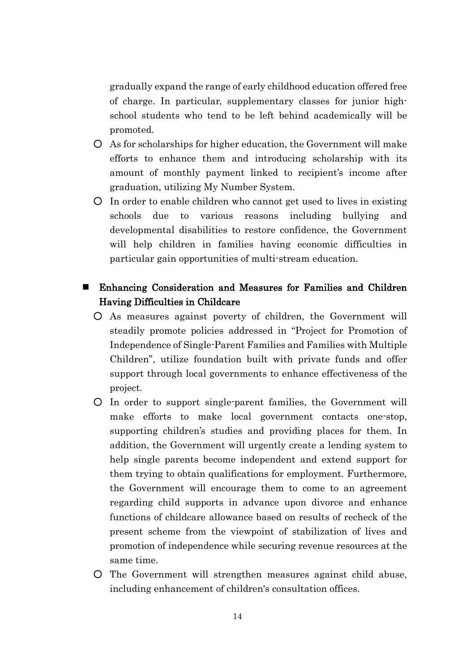gradually expand the range of early childhood education offered free of charge. In particular, supplementary classes for junior highschool students who tend to be left behind academically will be promoted.

- As for scholarships for higher education, the Government will make efforts to enhance them and introducing scholarship with its amount of monthly payment linked to recipient's income after graduation, utilizing My Number System.
- In order to enable children who cannot get used to lives in existing schools due to various reasons including bullying and developmental disabilities to restore confidence, the Government will help children in families having economic difficulties in particular gain opportunities of multi-stream education.

## Enhancing Consideration and Measures for Families and Children Having Difficulties in Childcare

- As measures against poverty of children, the Government will steadily promote policies addressed in "Project for Promotion of Independence of Single-Parent Families and Families with Multiple Children", utilize foundation built with private funds and offer support through local governments to enhance effectiveness of the project.
- In order to support single-parent families, the Government will make efforts to make local government contacts one-stop, supporting children's studies and providing places for them. In addition, the Government will urgently create a lending system to help single parents become independent and extend support for them trying to obtain qualifications for employment. Furthermore, the Government will encourage them to come to an agreement regarding child supports in advance upon divorce and enhance functions of childcare allowance based on results of recheck of the present scheme from the viewpoint of stabilization of lives and promotion of independence while securing revenue resources at the same time.
- The Government will strengthen measures against child abuse, including enhancement of children's consultation offices.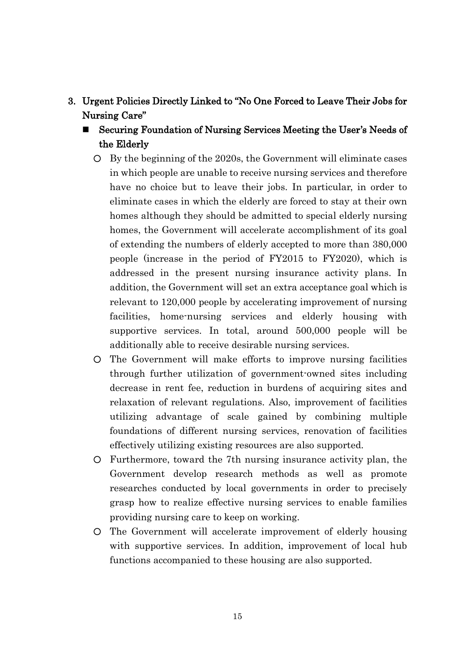## 3. Urgent Policies Directly Linked to "No One Forced to Leave Their Jobs for Nursing Care"

- Securing Foundation of Nursing Services Meeting the User's Needs of the Elderly
	- By the beginning of the 2020s, the Government will eliminate cases in which people are unable to receive nursing services and therefore have no choice but to leave their jobs. In particular, in order to eliminate cases in which the elderly are forced to stay at their own homes although they should be admitted to special elderly nursing homes, the Government will accelerate accomplishment of its goal of extending the numbers of elderly accepted to more than 380,000 people (increase in the period of FY2015 to FY2020), which is addressed in the present nursing insurance activity plans. In addition, the Government will set an extra acceptance goal which is relevant to 120,000 people by accelerating improvement of nursing facilities, home-nursing services and elderly housing with supportive services. In total, around 500,000 people will be additionally able to receive desirable nursing services.
	- The Government will make efforts to improve nursing facilities through further utilization of government-owned sites including decrease in rent fee, reduction in burdens of acquiring sites and relaxation of relevant regulations. Also, improvement of facilities utilizing advantage of scale gained by combining multiple foundations of different nursing services, renovation of facilities effectively utilizing existing resources are also supported.
	- Furthermore, toward the 7th nursing insurance activity plan, the Government develop research methods as well as promote researches conducted by local governments in order to precisely grasp how to realize effective nursing services to enable families providing nursing care to keep on working.
	- The Government will accelerate improvement of elderly housing with supportive services. In addition, improvement of local hub functions accompanied to these housing are also supported.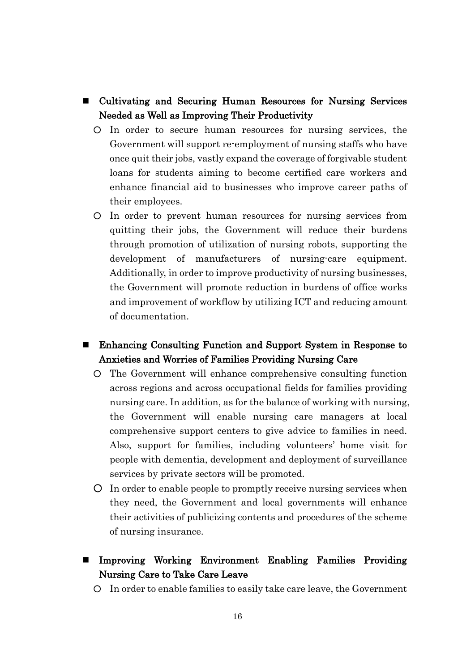- Cultivating and Securing Human Resources for Nursing Services Needed as Well as Improving Their Productivity
	- In order to secure human resources for nursing services, the Government will support re-employment of nursing staffs who have once quit their jobs, vastly expand the coverage of forgivable student loans for students aiming to become certified care workers and enhance financial aid to businesses who improve career paths of their employees.
	- In order to prevent human resources for nursing services from quitting their jobs, the Government will reduce their burdens through promotion of utilization of nursing robots, supporting the development of manufacturers of nursing-care equipment. Additionally, in order to improve productivity of nursing businesses, the Government will promote reduction in burdens of office works and improvement of workflow by utilizing ICT and reducing amount of documentation.
- Enhancing Consulting Function and Support System in Response to Anxieties and Worries of Families Providing Nursing Care
	- The Government will enhance comprehensive consulting function across regions and across occupational fields for families providing nursing care. In addition, as for the balance of working with nursing, the Government will enable nursing care managers at local comprehensive support centers to give advice to families in need. Also, support for families, including volunteers' home visit for people with dementia, development and deployment of surveillance services by private sectors will be promoted.
	- In order to enable people to promptly receive nursing services when they need, the Government and local governments will enhance their activities of publicizing contents and procedures of the scheme of nursing insurance.
- Improving Working Environment Enabling Families Providing Nursing Care to Take Care Leave
	- In order to enable families to easily take care leave, the Government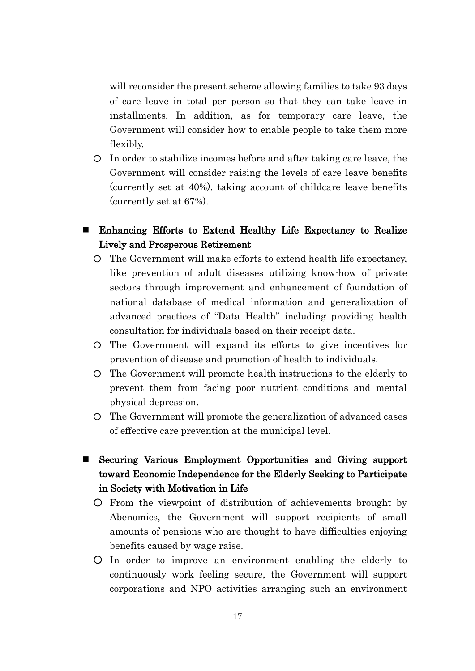will reconsider the present scheme allowing families to take 93 days of care leave in total per person so that they can take leave in installments. In addition, as for temporary care leave, the Government will consider how to enable people to take them more flexibly.

- In order to stabilize incomes before and after taking care leave, the Government will consider raising the levels of care leave benefits (currently set at 40%), taking account of childcare leave benefits (currently set at 67%).
- Enhancing Efforts to Extend Healthy Life Expectancy to Realize Lively and Prosperous Retirement
	- The Government will make efforts to extend health life expectancy, like prevention of adult diseases utilizing know-how of private sectors through improvement and enhancement of foundation of national database of medical information and generalization of advanced practices of "Data Health" including providing health consultation for individuals based on their receipt data.
	- The Government will expand its efforts to give incentives for prevention of disease and promotion of health to individuals.
	- The Government will promote health instructions to the elderly to prevent them from facing poor nutrient conditions and mental physical depression.
	- The Government will promote the generalization of advanced cases of effective care prevention at the municipal level.
- Securing Various Employment Opportunities and Giving support toward Economic Independence for the Elderly Seeking to Participate in Society with Motivation in Life
	- From the viewpoint of distribution of achievements brought by Abenomics, the Government will support recipients of small amounts of pensions who are thought to have difficulties enjoying benefits caused by wage raise.
	- In order to improve an environment enabling the elderly to continuously work feeling secure, the Government will support corporations and NPO activities arranging such an environment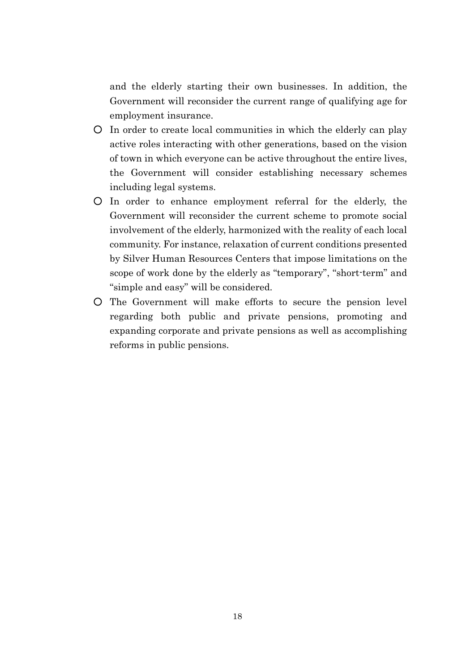and the elderly starting their own businesses. In addition, the Government will reconsider the current range of qualifying age for employment insurance.

- In order to create local communities in which the elderly can play active roles interacting with other generations, based on the vision of town in which everyone can be active throughout the entire lives, the Government will consider establishing necessary schemes including legal systems.
- In order to enhance employment referral for the elderly, the Government will reconsider the current scheme to promote social involvement of the elderly, harmonized with the reality of each local community. For instance, relaxation of current conditions presented by Silver Human Resources Centers that impose limitations on the scope of work done by the elderly as "temporary", "short-term" and "simple and easy" will be considered.
- The Government will make efforts to secure the pension level regarding both public and private pensions, promoting and expanding corporate and private pensions as well as accomplishing reforms in public pensions.